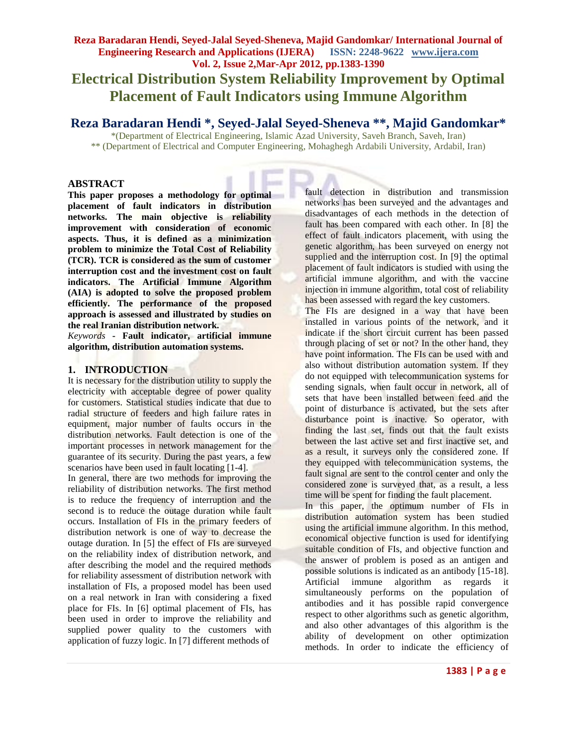# **Reza Baradaran Hendi, Seyed-Jalal Seyed-Sheneva, Majid Gandomkar/ International Journal of Engineering Research and Applications (IJERA) ISSN: 2248-9622 www.ijera.com Vol. 2, Issue 2,Mar-Apr 2012, pp.1383-1390 Electrical Distribution System Reliability Improvement by Optimal Placement of Fault Indicators using Immune Algorithm**

# **Reza Baradaran Hendi \*, Seyed-Jalal Seyed-Sheneva \*\*, Majid Gandomkar\***

\*(Department of Electrical Engineering, Islamic Azad University, Saveh Branch, Saveh, Iran) \*\* (Department of Electrical and Computer Engineering, Mohaghegh Ardabili University, Ardabil, Iran)

## **ABSTRACT**

**This paper proposes a methodology for optimal placement of fault indicators in distribution networks. The main objective is reliability improvement with consideration of economic aspects. Thus, it is defined as a minimization problem to minimize the Total Cost of Reliability (TCR). TCR is considered as the sum of customer interruption cost and the investment cost on fault indicators. The Artificial Immune Algorithm (AIA) is adopted to solve the proposed problem efficiently. The performance of the proposed approach is assessed and illustrated by studies on the real Iranian distribution network.**

*Keywords* **- Fault indicator, artificial immune algorithm, distribution automation systems.**

# **1. INTRODUCTION**

It is necessary for the distribution utility to supply the electricity with acceptable degree of power quality for customers. Statistical studies indicate that due to radial structure of feeders and high failure rates in equipment, major number of faults occurs in the distribution networks. Fault detection is one of the important processes in network management for the guarantee of its security. During the past years, a few scenarios have been used in fault locating [1-4].

In general, there are two methods for improving the reliability of distribution networks. The first method is to reduce the frequency of interruption and the second is to reduce the outage duration while fault occurs. Installation of FIs in the primary feeders of distribution network is one of way to decrease the outage duration. In [5] the effect of FIs are surveyed on the reliability index of distribution network, and after describing the model and the required methods for reliability assessment of distribution network with installation of FIs, a proposed model has been used on a real network in Iran with considering a fixed place for FIs. In [6] optimal placement of FIs, has been used in order to improve the reliability and supplied power quality to the customers with application of fuzzy logic. In [7] different methods of

fault detection in distribution and transmission networks has been surveyed and the advantages and disadvantages of each methods in the detection of fault has been compared with each other. In [8] the effect of fault indicators placement, with using the genetic algorithm, has been surveyed on energy not supplied and the interruption cost. In [9] the optimal placement of fault indicators is studied with using the artificial immune algorithm, and with the vaccine injection in immune algorithm, total cost of reliability has been assessed with regard the key customers.

The FIs are designed in a way that have been installed in various points of the network, and it indicate if the short circuit current has been passed through placing of set or not? In the other hand, they have point information. The FIs can be used with and also without distribution automation system. If they do not equipped with telecommunication systems for sending signals, when fault occur in network, all of sets that have been installed between feed and the point of disturbance is activated, but the sets after disturbance point is inactive. So operator, with finding the last set, finds out that the fault exists between the last active set and first inactive set, and as a result, it surveys only the considered zone. If they equipped with telecommunication systems, the fault signal are sent to the control center and only the considered zone is surveyed that, as a result, a less time will be spent for finding the fault placement.

In this paper, the optimum number of FIs in distribution automation system has been studied using the artificial immune algorithm. In this method, economical objective function is used for identifying suitable condition of FIs, and objective function and the answer of problem is posed as an antigen and possible solutions is indicated as an antibody [15-18]. Artificial immune algorithm as regards it simultaneously performs on the population of antibodies and it has possible rapid convergence respect to other algorithms such as genetic algorithm, and also other advantages of this algorithm is the ability of development on other optimization methods. In order to indicate the efficiency of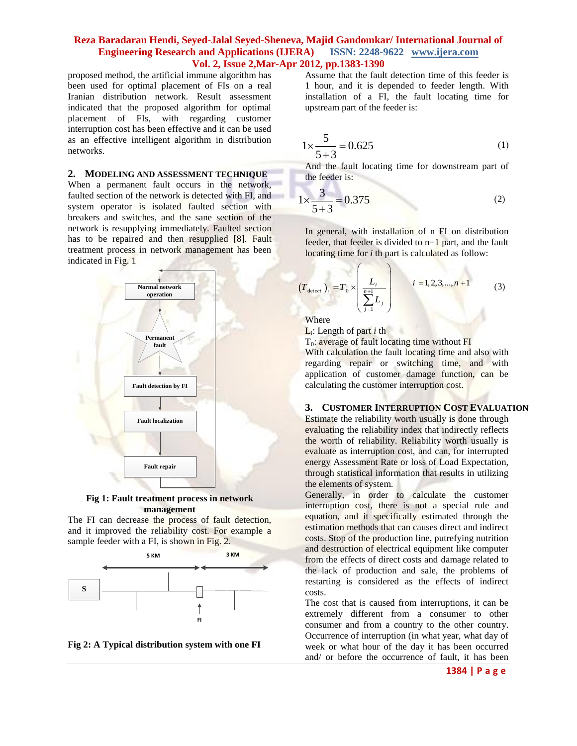proposed method, the artificial immune algorithm has been used for optimal placement of FIs on a real Iranian distribution network. Result assessment indicated that the proposed algorithm for optimal placement of FIs, with regarding customer interruption cost has been effective and it can be used as an effective intelligent algorithm in distribution networks.

#### **2. MODELING AND ASSESSMENT TECHNIQUE**

When a permanent fault occurs in the network, faulted section of the network is detected with FI, and system operator is isolated faulted section with breakers and switches, and the sane section of the network is resupplying immediately. Faulted section has to be repaired and then resupplied [8]. Fault treatment process in network management has been indicated in Fig. 1



#### **Fig 1: Fault treatment process in network management**

The FI can decrease the process of fault detection, and it improved the reliability cost. For example a sample feeder with a FI, is shown in Fig. 2.



**Fig 2: A Typical distribution system with one FI**

Assume that the fault detection time of this feeder is 1 hour, and it is depended to feeder length. With installation of a FI, the fault locating time for upstream part of the feeder is:

$$
1 \times \frac{5}{5+3} = 0.625\tag{1}
$$

And the fault locating time for downstream part of the feeder is:

$$
1 \times \frac{3}{5+3} = 0.375
$$
 (2)

In general, with installation of n FI on distribution feeder, that feeder is divided to  $n+1$  part, and the fault locating time for *i* th part is calculated as follow:

$$
(T_{\text{detect}})_i = T_0 \times \left(\frac{L_i}{\sum_{j=1}^{n+1} L_j}\right) \qquad i = 1, 2, 3, ..., n+1 \qquad (3)
$$

Where

L<sub>i</sub>: Length of part *i* th

T<sub>0</sub>: average of fault locating time without FI

 $($ 

With calculation the fault locating time and also with regarding repair or switching time, and with application of customer damage function, can be calculating the customer interruption cost.

#### **3. CUSTOMER INTERRUPTION COST EVALUATION**

Estimate the reliability worth usually is done through evaluating the reliability index that indirectly reflects the worth of reliability. Reliability worth usually is evaluate as interruption cost, and can, for interrupted energy Assessment Rate or loss of Load Expectation, through statistical information that results in utilizing the elements of system.

Generally, in order to calculate the customer interruption cost, there is not a special rule and equation, and it specifically estimated through the estimation methods that can causes direct and indirect costs. Stop of the production line, putrefying nutrition and destruction of electrical equipment like computer from the effects of direct costs and damage related to the lack of production and sale, the problems of restarting is considered as the effects of indirect costs.

The cost that is caused from interruptions, it can be extremely different from a consumer to other consumer and from a country to the other country. Occurrence of interruption (in what year, what day of week or what hour of the day it has been occurred and/ or before the occurrence of fault, it has been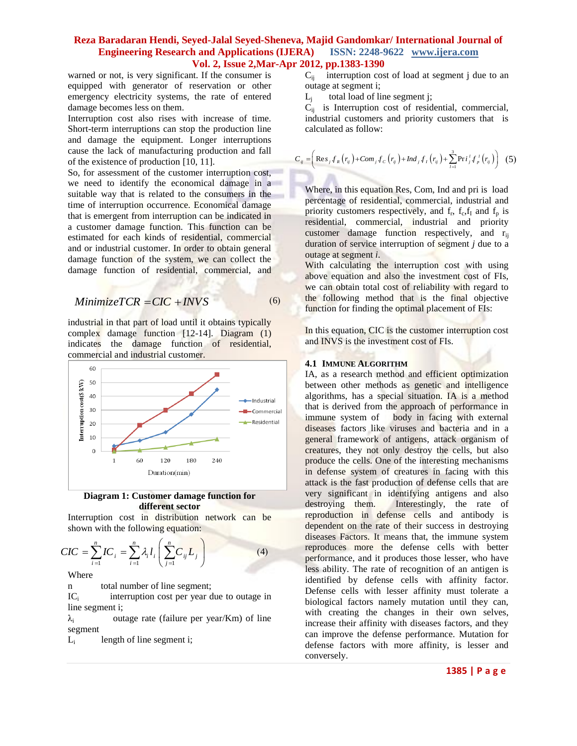warned or not, is very significant. If the consumer is equipped with generator of reservation or other emergency electricity systems, the rate of entered damage becomes less on them.

Interruption cost also rises with increase of time. Short-term interruptions can stop the production line and damage the equipment. Longer interruptions cause the lack of manufacturing production and fall of the existence of production [10, 11].

So, for assessment of the customer interruption cost, we need to identify the economical damage in a suitable way that is related to the consumers in the time of interruption occurrence. Economical damage that is emergent from interruption can be indicated in a customer damage function. This function can be estimated for each kinds of residential, commercial and or industrial customer. In order to obtain general damage function of the system, we can collect the damage function of residential, commercial, and

$$
Minimize TCR = CIC + INVS
$$
 (6)

industrial in that part of load until it obtains typically complex damage function [12-14]. Diagram (1) indicates the damage function of residential, commercial and industrial customer.



**Diagram 1: Customer damage function for different sector**

Interruption cost in distribution network can be

shown with the following equation:  
\n
$$
CIC = \sum_{i=1}^{n} IC_i = \sum_{i=1}^{n} \lambda_i l_i \left( \sum_{j=1}^{n} C_{ij} L_j \right)
$$
\n(4)

Where

n total number of line segment;

 $IC_i$  interruption cost per year due to outage in line segment i;

 $\lambda_i$  outage rate (failure per year/Km) of line segment

 $L_i$ length of line segment i;  $C_{ij}$  interruption cost of load at segment j due to an outage at segment i;

 $L_i$ total load of line segment j;

 $C_{ii}$  is Interruption cost of residential, commercial, industrial customers and priority customers that is calculated as follow:

calculated as follow:  
\n
$$
C_{ij} = \left( \text{Res}_j f_R(r_{ij}) + \text{Com}_j f_C(r_{ij}) + \text{Ind}_j f_I(r_{ij}) + \sum_{l=1}^3 \text{Pri}_j^l f_P^{l}(r_{ij}) \right)
$$
 (5)

Where, in this equation Res, Com, Ind and pri is load percentage of residential, commercial, industrial and priority customers respectively, and  $f_r$ ,  $f_c$ ,  $f_l$  and  $f_p$  is residential, commercial, industrial and priority customer damage function respectively, and r<sub>ij</sub> duration of service interruption of segment *j* due to a outage at segment *i*.

With calculating the interruption cost with using above equation and also the investment cost of FIs, we can obtain total cost of reliability with regard to the following method that is the final objective function for finding the optimal placement of FIs:

In this equation, CIC is the customer interruption cost and INVS is the investment cost of FIs.

## **4.1 IMMUNE ALGORITHM**

IA, as a research method and efficient optimization between other methods as genetic and intelligence algorithms, has a special situation. IA is a method that is derived from the approach of performance in immune system of body in facing with external diseases factors like viruses and bacteria and in a general framework of antigens, attack organism of creatures, they not only destroy the cells, but also produce the cells. One of the interesting mechanisms in defense system of creatures in facing with this attack is the fast production of defense cells that are very significant in identifying antigens and also destroying them. Interestingly, the rate of reproduction in defense cells and antibody is dependent on the rate of their success in destroying diseases Factors. It means that, the immune system reproduces more the defense cells with better performance, and it produces those lesser, who have less ability. The rate of recognition of an antigen is identified by defense cells with affinity factor. Defense cells with lesser affinity must tolerate a biological factors namely mutation until they can, with creating the changes in their own selves, increase their affinity with diseases factors, and they can improve the defense performance. Mutation for defense factors with more affinity, is lesser and conversely.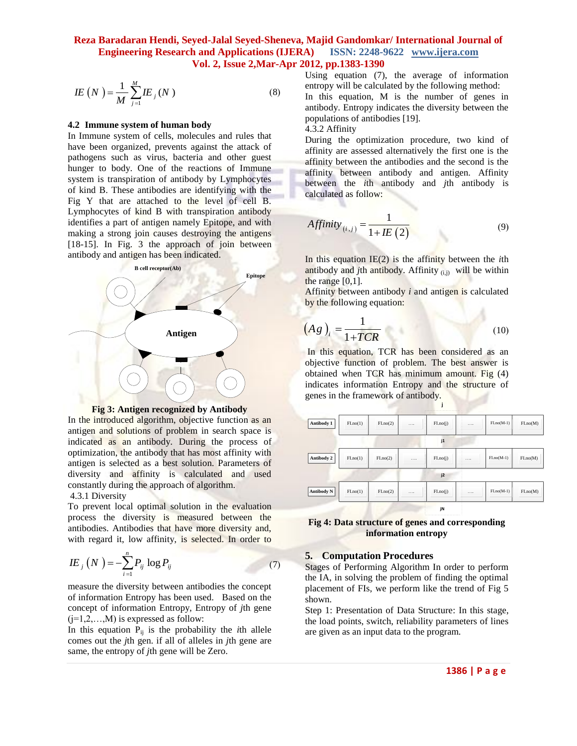$$
IE\left(N\right) = \frac{1}{M} \sum_{j=1}^{M} IE_{j}\left(N\right) \tag{8}
$$

#### **4.2 Immune system of human body**

In Immune system of cells, molecules and rules that have been organized, prevents against the attack of pathogens such as virus, bacteria and other guest hunger to body. One of the reactions of Immune system is transpiration of antibody by Lymphocytes of kind B. These antibodies are identifying with the Fig Y that are attached to the level of cell B. Lymphocytes of kind B with transpiration antibody identifies a part of antigen namely Epitope, and with making a strong join causes destroying the antigens [18-15]. In Fig. 3 the approach of join between antibody and antigen has been indicated.





In the introduced algorithm, objective function as an antigen and solutions of problem in search space is indicated as an antibody. During the process of optimization, the antibody that has most affinity with antigen is selected as a best solution. Parameters of diversity and affinity is calculated and used constantly during the approach of algorithm.

#### 4.3.1 Diversity

To prevent local optimal solution in the evaluation process the diversity is measured between the antibodies. Antibodies that have more diversity and, with regard it, low affinity, is selected. In order to

$$
I E_j (N) = -\sum_{i=1}^{n} P_{ij} \log P_{ij}
$$
 (7)

measure the diversity between antibodies the concept of information Entropy has been used. Based on the concept of information Entropy, Entropy of *j*th gene  $(i=1,2,...,M)$  is expressed as follow:

In this equation  $P_{ij}$  is the probability the *i*th allele comes out the *j*th gen. if all of alleles in *j*th gene are same, the entropy of *j*th gene will be Zero.

Using equation (7), the average of information entropy will be calculated by the following method:

In this equation, M is the number of genes in antibody. Entropy indicates the diversity between the populations of antibodies [19].

4.3.2 Affinity

During the optimization procedure, two kind of affinity are assessed alternatively the first one is the affinity between the antibodies and the second is the affinity between antibody and antigen. Affinity between the *i*th antibody and *j*th antibody is calculated as follow:

$$
Affinity_{(i,j)} = \frac{1}{1 + IE(2)}\tag{9}
$$

In this equation IE(2) is the affinity between the *i*th antibody and *j*th antibody. Affinity  $(i)$  will be within the range  $[0,1]$ .

Affinity between antibody *i* and antigen is calculated by the following equation: -2

$$
(Ag)_i = \frac{1}{1+TCR} \tag{10}
$$

In this equation, TCR has been considered as an objective function of problem. The best answer is obtained when TCR has minimum amount. Fig (4) indicates information Entropy and the structure of genes in the framework of antibody.

| Antibody 1        | FI.no(1) | FI.no(2) | $\cdots$ | FI.no(j) | . | $FI.no(M-1)$ | FIno(M) |
|-------------------|----------|----------|----------|----------|---|--------------|---------|
|                   |          |          |          | j1       |   |              |         |
| Antibody 2        | FI.no(1) | FI.no(2) | .        | FI.no(j) | . | $FI.no(M-1)$ | FIno(M) |
|                   |          |          |          | j2       |   |              |         |
| <b>Antibody N</b> | FI.no(1) | FI.no(2) | .        | FI.no(j) | . | $FI.no(M-1)$ | FIno(M) |
|                   |          |          |          | jN       |   |              |         |

**j**

**Fig 4: Data structure of genes and corresponding information entropy**

## **5. Computation Procedures**

Stages of Performing Algorithm In order to perform the IA, in solving the problem of finding the optimal placement of FIs, we perform like the trend of Fig 5 shown.

Step 1: Presentation of Data Structure: In this stage, the load points, switch, reliability parameters of lines are given as an input data to the program.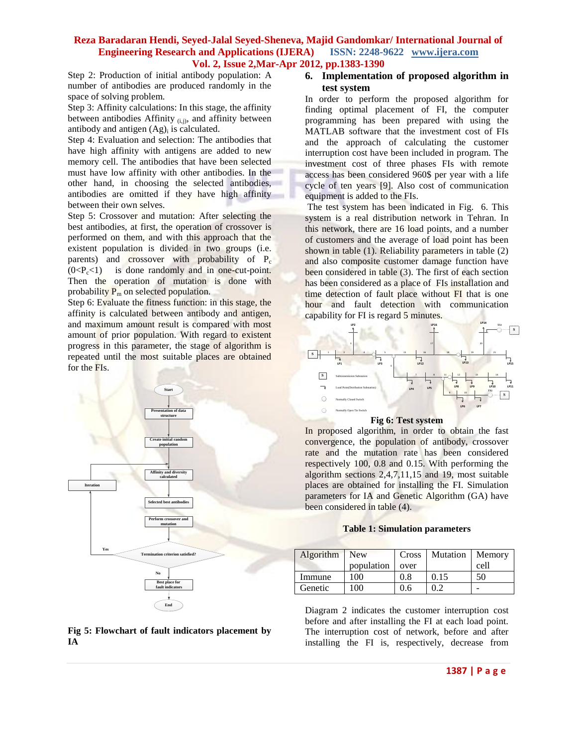Step 2: Production of initial antibody population: A number of antibodies are produced randomly in the space of solving problem.

Step 3: Affinity calculations: In this stage, the affinity between antibodies Affinity  $(i,j)$ , and affinity between antibody and antigen  $(Ag)$ <sub>i</sub> is calculated.

Step 4: Evaluation and selection: The antibodies that have high affinity with antigens are added to new memory cell. The antibodies that have been selected must have low affinity with other antibodies. In the other hand, in choosing the selected antibodies, antibodies are omitted if they have high affinity between their own selves.

Step 5: Crossover and mutation: After selecting the best antibodies, at first, the operation of crossover is performed on them, and with this approach that the existent population is divided in two groups (i.e. parents) and crossover with probability of P<sub>c</sub>  $(0 < P_c < 1)$  is done randomly and in one-cut-point. Then the operation of mutation is done with probability  $P_m$  on selected population.

Step 6: Evaluate the fitness function: in this stage, the affinity is calculated between antibody and antigen, and maximum amount result is compared with most amount of prior population. With regard to existent progress in this parameter, the stage of algorithm is repeated until the most suitable places are obtained for the FIs.



## **Fig 5: Flowchart of fault indicators placement by IA**

# **6. Implementation of proposed algorithm in test system**

In order to perform the proposed algorithm for finding optimal placement of FI, the computer programming has been prepared with using the MATLAB software that the investment cost of FIs and the approach of calculating the customer interruption cost have been included in program. The investment cost of three phases FIs with remote access has been considered 960\$ per year with a life cycle of ten years [9]. Also cost of communication equipment is added to the FIs.

The test system has been indicated in Fig. 6. This system is a real distribution network in Tehran. In this network, there are 16 load points, and a number of customers and the average of load point has been shown in table (1). Reliability parameters in table (2) and also composite customer damage function have been considered in table (3). The first of each section has been considered as a place of FIs installation and time detection of fault place without FI that is one hour and fault detection with communication capability for FI is regard 5 minutes.



In proposed algorithm, in order to obtain the fast convergence, the population of antibody, crossover rate and the mutation rate has been considered respectively 100, 0.8 and 0.15. With performing the algorithm sections 2,4,7,11,15 and 19, most suitable places are obtained for installing the FI. Simulation parameters for IA and Genetic Algorithm (GA) have been considered in table (4).

#### **Table 1: Simulation parameters**

| Algorithm New |            | Cross | Mutation   Memory |      |
|---------------|------------|-------|-------------------|------|
|               | population | over  |                   | cell |
| Immune        | 100        | 0.8   | 0.15              | 50   |
| Genetic       | 100        | 0.6   | 0.2               |      |

Diagram 2 indicates the customer interruption cost before and after installing the FI at each load point. The interruption cost of network, before and after installing the FI is, respectively, decrease from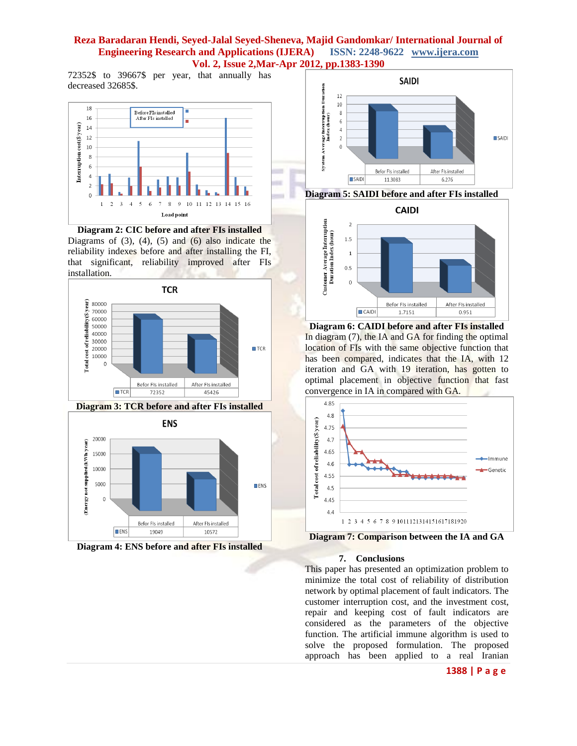72352\$ to 39667\$ per year, that annually has decreased 32685\$.



**Diagram 2: CIC before and after FIs installed** Diagrams of  $(3)$ ,  $(4)$ ,  $(5)$  and  $(6)$  also indicate the reliability indexes before and after installing the FI, that significant, reliability improved after FIs installation.













**Diagram 6: CAIDI before and after FIs installed** In diagram (7), the IA and GA for finding the optimal location of FIs with the same objective function that has been compared, indicates that the IA, with 12 iteration and GA with 19 iteration, has gotten to optimal placement in objective function that fast convergence in IA in compared with GA.



**Diagram 7: Comparison between the IA and GA**

#### **7. Conclusions**

This paper has presented an optimization problem to minimize the total cost of reliability of distribution network by optimal placement of fault indicators. The customer interruption cost, and the investment cost, repair and keeping cost of fault indicators are considered as the parameters of the objective function. The artificial immune algorithm is used to solve the proposed formulation. The proposed approach has been applied to a real Iranian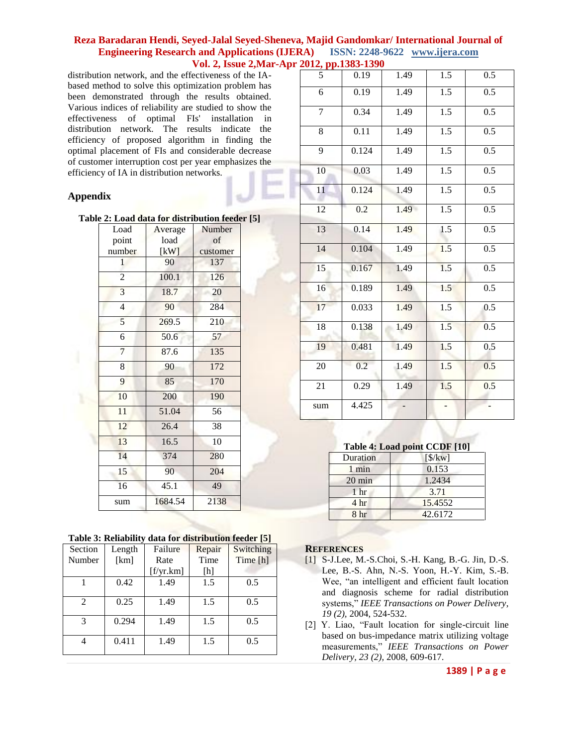distribution network, and the effectiveness of the IAbased method to solve this optimization problem has been demonstrated through the results obtained. Various indices of reliability are studied to show the effectiveness of optimal FIs' installation in distribution network. The results indicate the efficiency of proposed algorithm in finding the optimal placement of FIs and considerable decrease of customer interruption cost per year emphasizes the efficiency of IA in distribution networks.

# **Appendix**

|  |  | Table 2: Load data for distribution feeder [5] |  |
|--|--|------------------------------------------------|--|
|  |  |                                                |  |

| Load                    | Average            | Number   |
|-------------------------|--------------------|----------|
| point                   | load               | of       |
| number                  | [kW]               | customer |
| 1                       | 90                 | 137      |
| $\overline{2}$          | 100.1              | 126      |
| $\overline{\mathbf{3}}$ | 18.7               | 20       |
| $\overline{4}$          | 90                 | 284      |
| 5                       | 269.5              | 210      |
| 6                       | 50.6               | 57       |
| 7                       | 87.6               | 135      |
| 8                       | 90                 | 172      |
| 9                       | 85                 | 170      |
| 10                      | 200                | 190      |
| $\overline{11}$         | $\overline{51.04}$ | 56       |
| 12                      | 26.4               | 38       |
| 13                      | 16.5               | 10       |
| 14                      | 374                | 280      |
| 15                      | 90                 | 204      |
| 16                      | $45.\overline{1}$  | 49       |
| sum                     | 1684.54            | 2138     |
|                         |                    |          |

|                | raon of nemability |           |        | $\alpha$ and $\alpha$ and $\alpha$ and $\alpha$ and $\alpha$ and $\alpha$ |
|----------------|--------------------|-----------|--------|---------------------------------------------------------------------------|
| Section        | Length             | Failure   | Repair | Switching                                                                 |
| Number         | [km]               | Rate      | Time   | Time [h]                                                                  |
|                |                    | [f/yr.km] | [h]    |                                                                           |
|                | 0.42               | 1.49      | 1.5    | 0.5                                                                       |
| $\mathfrak{D}$ | 0.25               | 1.49      | 1.5    | 0.5                                                                       |
| $\mathcal{R}$  | 0.294              | 1.49      | 1.5    | 0.5                                                                       |
|                | 0.411              | 1.49      | 1.5    | 0.5                                                                       |

|                 | $p p. 1303 - 1370$ |      |                  |                  |
|-----------------|--------------------|------|------------------|------------------|
| $\frac{012}{5}$ | 0.19               | 1.49 | 1.5              | 0.5              |
| 6               | 0.19               | 1.49 | $\overline{1.5}$ | 0.5              |
| 7               | 0.34               | 1.49 | 1.5              | 0.5              |
| $\overline{8}$  | 0.11               | 1.49 | 1.5              | 0.5              |
| $\overline{9}$  | 0.124              | 1.49 | 1.5              | 0.5              |
| 10              | 0.03               | 1.49 | 1.5              | 0.5              |
| 11              | 0.124              | 1.49 | 1.5              | 0.5              |
| 12              | 0.2                | 1.49 | $\overline{1.5}$ | 0.5              |
| 13              | 0.14               | 1.49 | 1.5              | 0.5              |
| 14              | 0.104              | 1.49 | 1.5              | 0.5              |
| $\overline{15}$ | 0.167              | 1.49 | 1.5              | 0.5              |
| 16              | 0.189              | 1.49 | 1.5              | 0.5              |
| 17              | 0.033              | 1.49 | 1.5              | $\overline{0.5}$ |
| 18              | 0.138              | 1.49 | 1.5              | 0.5              |
| 19              | 0.481              | 1.49 | 1.5              | $\overline{0.5}$ |
| 20              | 0.2                | 1.49 | 1.5              | 0.5              |
| $\overline{21}$ | 0.29               | 1.49 | 1.5              | 0.5              |
| sum             | $\overline{4.425}$ |      |                  |                  |

| Table 4: Load point CCDF [10] |                              |  |  |  |
|-------------------------------|------------------------------|--|--|--|
| Duration                      | $\left[\frac{\$}{kw}\right]$ |  |  |  |
| 1 min                         | 0.153                        |  |  |  |
| $20 \text{ min}$              | 1.2434                       |  |  |  |
| 1 <sub>hr</sub>               | 3.71                         |  |  |  |
| 4 <sup>hr</sup>               | 15.4552                      |  |  |  |
| 8 hr                          | 42.6172                      |  |  |  |

# **REFERENCES**

- [1] S-J.Lee, M.-S.Choi, S.-H. Kang, B.-G. Jin, D.-S. Lee, B.-S. Ahn, N.-S. Yoon, H.-Y. Kim, S.-B. Wee, "an intelligent and efficient fault location and diagnosis scheme for radial distribution systems," *IEEE Transactions on Power Delivery*, *19 (2),* 2004, 524-532.
- [2] Y. Liao, "Fault location for single-circuit line based on bus-impedance matrix utilizing voltage measurements," *IEEE Transactions on Power Delivery, 23 (2),* 2008, 609-617.